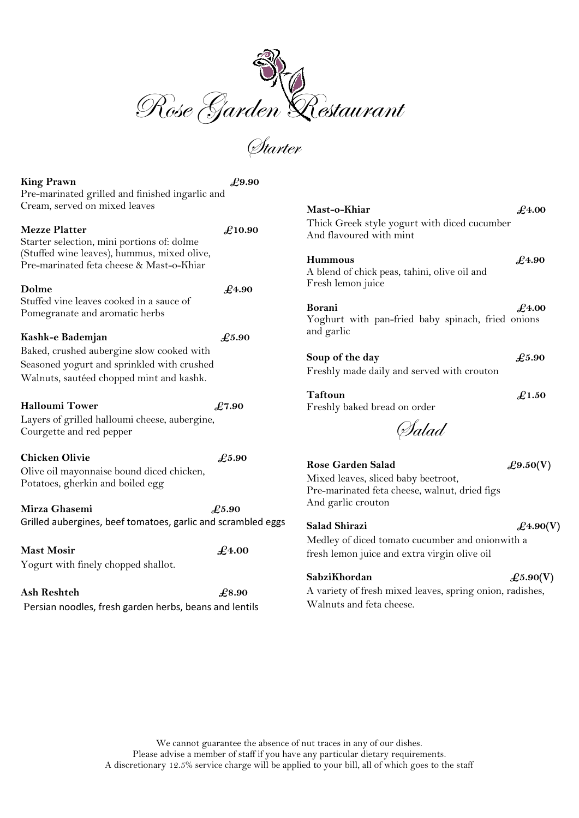

Starter

 $\pounds 9.50(V)$ 

 $\pounds$ 4.90(V)

 $\pounds$ 5.90(V)

| <b>King Prawn</b><br>Pre-marinated grilled and finished ingarlic and                    | £9.90          |                                                                         |                |
|-----------------------------------------------------------------------------------------|----------------|-------------------------------------------------------------------------|----------------|
| Cream, served on mixed leaves                                                           |                | Mast-o-Khiar                                                            | $\pounds$ 4.00 |
| <b>Mezze Platter</b><br>Starter selection, mini portions of: dolme                      | £10.90         | Thick Greek style yogurt with diced cucumber<br>And flavoured with mint |                |
| (Stuffed wine leaves), hummus, mixed olive,<br>Pre-marinated feta cheese & Mast-o-Khiar |                | <b>Hummous</b><br>A blend of chick peas, tahini, olive oil and          | $\pounds$ 4.90 |
| Dolme                                                                                   | $\pounds$ 4.90 | Fresh lemon juice                                                       |                |
| Stuffed vine leaves cooked in a sauce of<br>Pomegranate and aromatic herbs              |                | <b>Borani</b><br>Yoghurt with pan-fried baby spinach, fried onions      | $\pounds$ 4.00 |
| Kashk-e Bademjan                                                                        | £5.90          | and garlic                                                              |                |
| Baked, crushed aubergine slow cooked with                                               |                | Soup of the day                                                         | £5.90          |
| Seasoned yogurt and sprinkled with crushed                                              |                | Freshly made daily and served with crouton                              |                |
| Walnuts, sautéed chopped mint and kashk.                                                |                |                                                                         |                |
| <b>Halloumi Tower</b>                                                                   | £7.90          | <b>Taftoun</b><br>Freshly baked bread on order                          | $\pounds$ 1.50 |
| Layers of grilled halloumi cheese, aubergine,<br>Courgette and red pepper               |                | (Salad                                                                  |                |
| <b>Chicken Olivie</b>                                                                   | £5.90          |                                                                         |                |
| Olive oil mayonnaise bound diced chicken,<br>Potatoes, gherkin and boiled egg           |                | <b>Rose Garden Salad</b><br>Mixed leaves, sliced baby beetroot,         | £9.50(         |
|                                                                                         |                | Pre-marinated feta cheese, walnut, dried figs                           |                |
| Mirza Ghasemi                                                                           | £5.90          | And garlic crouton                                                      |                |
| Grilled aubergines, beef tomatoes, garlic and scrambled eggs                            |                | <b>Salad Shirazi</b>                                                    | $\pounds$ 4.90 |
|                                                                                         |                | Medley of diced tomato cucumber and onionwith a                         |                |
| <b>Mast Mosir</b><br>$\pounds$ 4.00                                                     |                | fresh lemon juice and extra virgin olive oil                            |                |
| Yogurt with finely chopped shallot.                                                     |                | SabziKhordan                                                            | £5.90(         |
| <b>Ash Reshteh</b>                                                                      | £8.90          | A variety of fresh mixed leaves, spring onion, radishes,                |                |
|                                                                                         |                | Walnuts and feta cheese.                                                |                |
| Persian noodles, fresh garden herbs, beans and lentils                                  |                |                                                                         |                |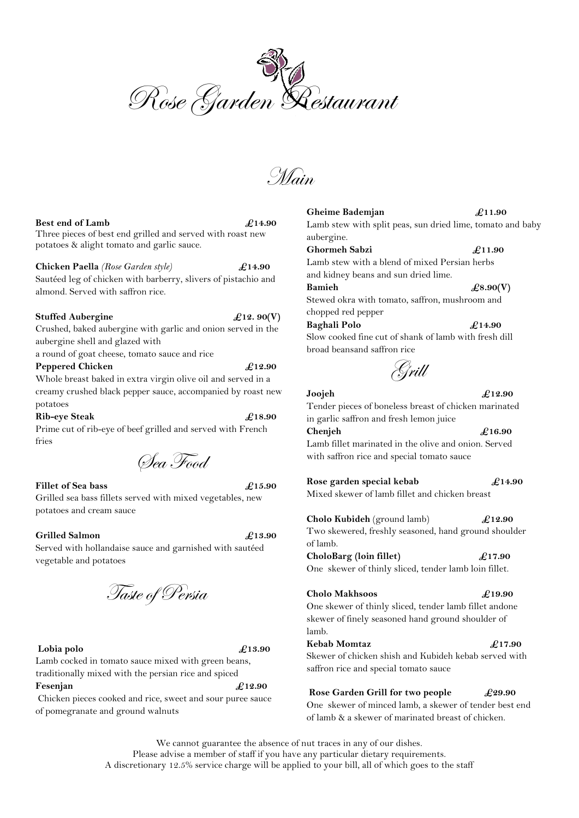Rose Garden Restaurant

Main

## **Best end of Lamb**  $\qquad \qquad \mathcal{L}$ 14.90

Three pieces of best end grilled and served with roast new potatoes & alight tomato and garlic sauce.

## **Chicken Paella** *(Rose Garden style)* **£14.90**

Sautéed leg of chicken with barberry, slivers of pistachio and almond. Served with saffron rice.

## **Stuffed Aubergine**  $\pounds$ 12. 90(V)

Crushed, baked aubergine with garlic and onion served in the aubergine shell and glazed with

a round of goat cheese, tomato sauce and rice

## **Peppered Chicken £12.90**

Whole breast baked in extra virgin olive oil and served in a creamy crushed black pepper sauce, accompanied by roast new potatoes

## **Rib-eye** Steak  $\ell$ 18.90

Prime cut of rib-eye of beef grilled and served with French fries

Sea Food

## Fillet of Sea bass  $\angle 15.90$

Grilled sea bass fillets served with mixed vegetables, new potatoes and cream sauce

## Grilled Salmon **£13.90**

Served with hollandaise sauce and garnished with sautéed vegetable and potatoes

Taste of Persia

# Lobia polo  $\ell$ 13.90

Lamb cocked in tomato sauce mixed with green beans, traditionally mixed with the persian rice and spiced Fesenjan  $\angle 12.90$ 

Chicken pieces cooked and rice, sweet and sour puree sauce of pomegranate and ground walnuts

## Lamb stew with split peas, sun dried lime, tomato and baby aubergine. Ghormeh Sabzi  $\qquad \qquad \text{\pounds}11.90$ Lamb stew with a blend of mixed Persian herbs and kidney beans and sun dried lime. **Bamieh**  $\pounds 8.90(V)$ Stewed okra with tomato, saffron, mushroom and

Gheime Bademjan  $\pounds$ 11.90

chopped red pepper **Baghali Polo £14.90** Slow cooked fine cut of shank of lamb with fresh dill broad beansand saffron rice

Grill

**Joojeh £12.90**

Tender pieces of boneless breast of chicken marinated in garlic saffron and fresh lemon juice

**Chenjeh £16.90** Lamb fillet marinated in the olive and onion. Served with saffron rice and special tomato sauce

**Rose garden special kebab £14.90**  Mixed skewer of lamb fillet and chicken breast

**Cholo Kubideh** (ground lamb) **£12.90** Two skewered, freshly seasoned, hand ground shoulder of lamb.

**CholoBarg (loin fillet) £17.90** One skewer of thinly sliced, tender lamb loin fillet.

**Cholo Makhsoos £19.90** One skewer of thinly sliced, tender lamb fillet andone skewer of finely seasoned hand ground shoulder of lamb.

**Kebab Momtaz £17.90** Skewer of chicken shish and Kubideh kebab served with saffron rice and special tomato sauce

**Rose Garden Grill for two people £29.90** One skewer of minced lamb, a skewer of tender best end of lamb & a skewer of marinated breast of chicken.

We cannot guarantee the absence of nut traces in any of our dishes. Please advise a member of staff if you have any particular dietary requirements. A discretionary 12.5% service charge will be applied to your bill, all of which goes to the staff